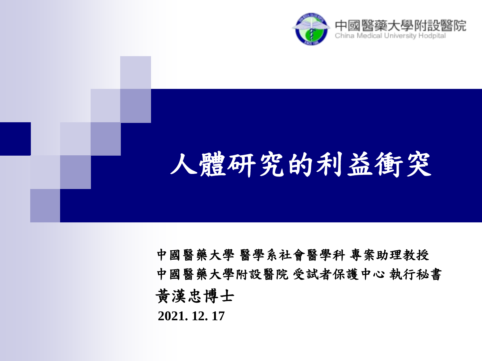

# 人體研究的利益衝突

中國醫藥大學 醫學系社會醫學科 專案助理教授 中國醫藥大學附設醫院 受試者保護中心 執行秘書 黃漢忠博士 **2021. 12. 17**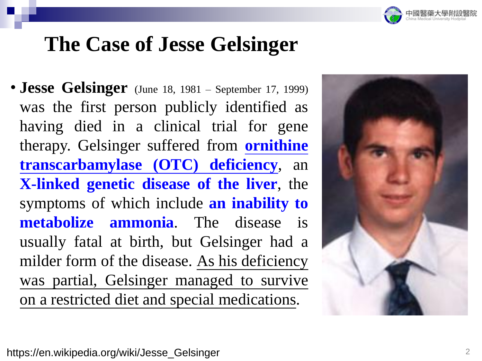

• **Jesse Gelsinger** (June 18, <sup>1981</sup> – September 17, 1999) was the first person publicly identified as having died in a clinical trial for gene therapy. Gelsinger suffered from **ornithine transcarbamylase (OTC) deficiency**, an **X-linked genetic disease of the liver**, the symptoms of which include **an inability to metabolize ammonia**. The disease is usually fatal at birth, but Gelsinger had a milder form of the disease. As his deficiency was partial, Gelsinger managed to survive on a restricted diet and special medications.

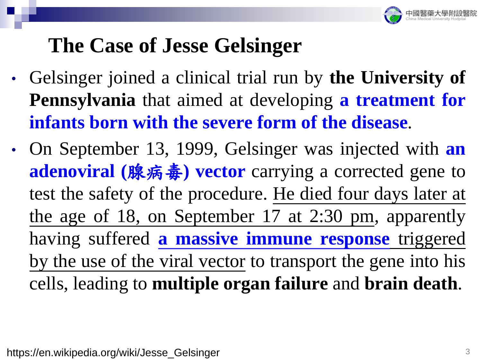

- Gelsinger joined a clinical trial run by **the University of Pennsylvania** that aimed at developing **a treatment for infants born with the severe form of the disease**.
- On September 13, 1999, Gelsinger was injected with **an adenoviral (**腺病毒**) vector** carrying a corrected gene to test the safety of the procedure. He died four days later at the age of 18, on September 17 at 2:30 pm, apparently having suffered **a massive immune response** triggered by the use of the viral vector to transport the gene into his cells, leading to **multiple organ failure** and **brain death**.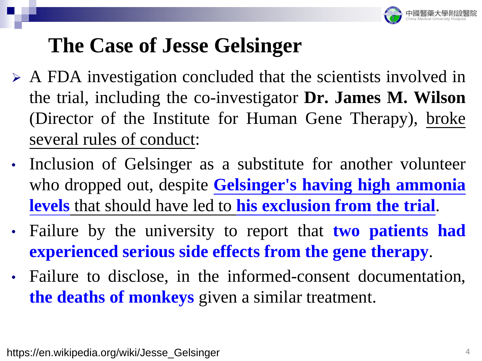

- ➢ A FDA investigation concluded that the scientists involved in the trial, including the co-investigator **Dr. James M. Wilson** (Director of the Institute for Human Gene Therapy), broke several rules of conduct:
- Inclusion of Gelsinger as a substitute for another volunteer who dropped out, despite **Gelsinger's having high ammonia levels** that should have led to **his exclusion from the trial**.
- Failure by the university to report that **two patients had experienced serious side effects from the gene therapy**.
- Failure to disclose, in the informed-consent documentation, **the deaths of monkeys** given a similar treatment.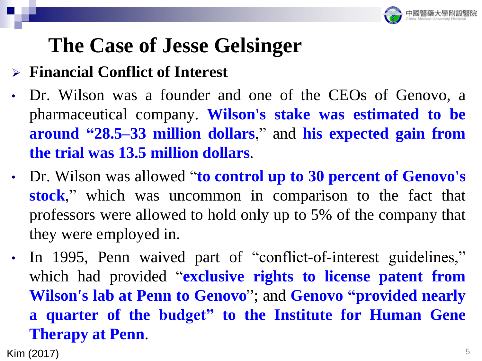

#### ➢ **Financial Conflict of Interest**

- Dr. Wilson was a founder and one of the CEOs of Genovo, a pharmaceutical company. **Wilson's stake was estimated to be around "28.5–33 million dollars**," and **his expected gain from the trial was 13.5 million dollars**.
- Dr. Wilson was allowed "**to control up to 30 percent of Genovo's stock**," which was uncommon in comparison to the fact that professors were allowed to hold only up to 5% of the company that they were employed in.
- In 1995, Penn waived part of "conflict-of-interest guidelines," which had provided "**exclusive rights to license patent from Wilson's lab at Penn to Genovo**"; and **Genovo "provided nearly a quarter of the budget" to the Institute for Human Gene Therapy at Penn**.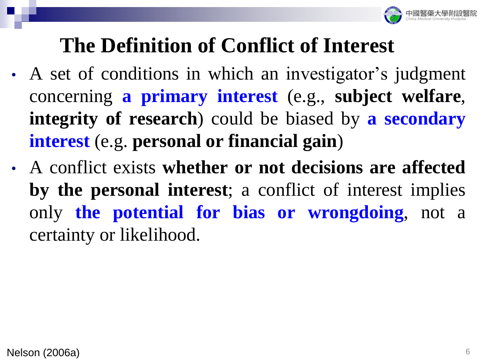

### **The Definition of Conflict of Interest**

- A set of conditions in which an investigator's judgment concerning **a primary interest** (e.g., **subject welfare**, **integrity of research**) could be biased by **a secondary interest** (e.g. **personal or financial gain**)
- A conflict exists **whether or not decisions are affected by the personal interest**; a conflict of interest implies only **the potential for bias or wrongdoing**, not a certainty or likelihood.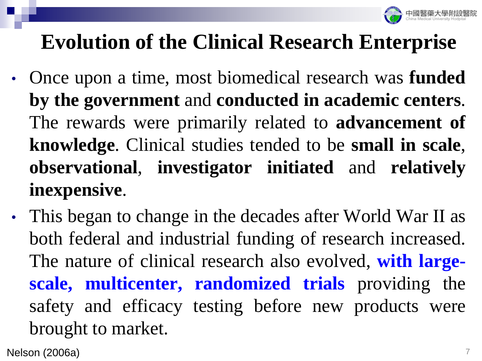

- Once upon a time, most biomedical research was **funded by the government** and **conducted in academic centers**. The rewards were primarily related to **advancement of knowledge**. Clinical studies tended to be **small in scale**, **observational**, **investigator initiated** and **relatively inexpensive**.
- This began to change in the decades after World War II as both federal and industrial funding of research increased. The nature of clinical research also evolved, **with largescale, multicenter, randomized trials** providing the safety and efficacy testing before new products were brought to market.

Nelson (2006a)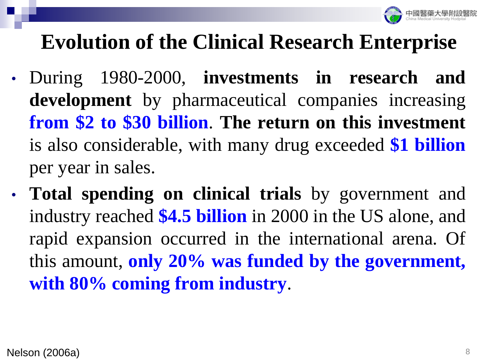

- During 1980-2000, **investments in research and development** by pharmaceutical companies increasing **from \$2 to \$30 billion**. **The return on this investment** is also considerable, with many drug exceeded **\$1 billion** per year in sales.
- **Total spending on clinical trials** by government and industry reached **\$4.5 billion** in 2000 in the US alone, and rapid expansion occurred in the international arena. Of this amount, **only 20% was funded by the government, with 80% coming from industry**.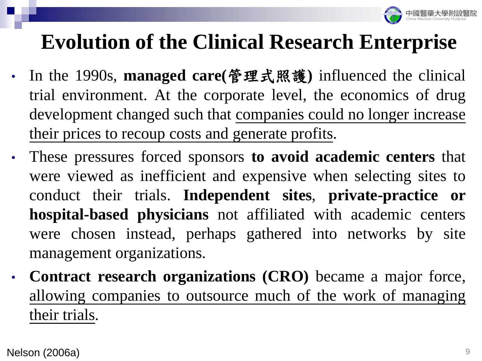

- In the 1990s, **managed care(**管理式照護**)** influenced the clinical trial environment. At the corporate level, the economics of drug development changed such that companies could no longer increase their prices to recoup costs and generate profits.
- These pressures forced sponsors **to avoid academic centers** that were viewed as inefficient and expensive when selecting sites to conduct their trials. **Independent sites**, **private-practice or hospital-based physicians** not affiliated with academic centers were chosen instead, perhaps gathered into networks by site management organizations.
- **Contract research organizations (CRO)** became a major force, allowing companies to outsource much of the work of managing their trials.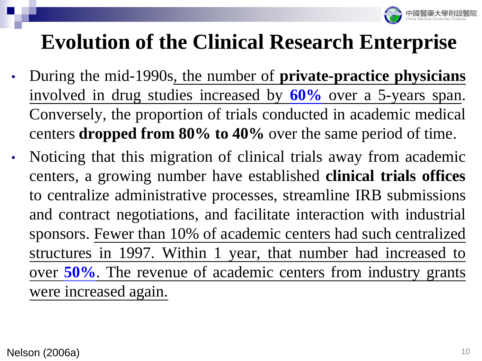

- During the mid-1990s, the number of **private-practice physicians** involved in drug studies increased by **60%** over a 5-years span. Conversely, the proportion of trials conducted in academic medical centers **dropped from 80% to 40%** over the same period of time.
- Noticing that this migration of clinical trials away from academic centers, a growing number have established **clinical trials offices** to centralize administrative processes, streamline IRB submissions and contract negotiations, and facilitate interaction with industrial sponsors. Fewer than 10% of academic centers had such centralized structures in 1997. Within 1 year, that number had increased to over **50%**. The revenue of academic centers from industry grants were increased again.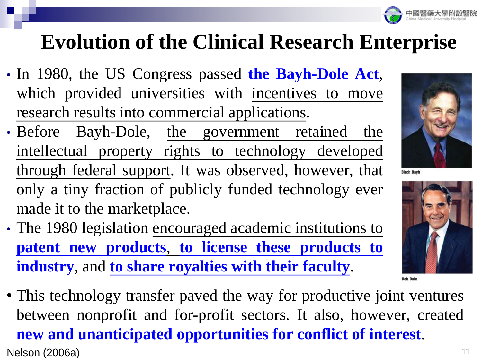

- In 1980, the US Congress passed **the Bayh-Dole Act**, which provided universities with incentives to move research results into commercial applications.
- Before Bayh-Dole, the government retained the intellectual property rights to technology developed through federal support. It was observed, however, that only a tiny fraction of publicly funded technology ever made it to the marketplace.
- The 1980 legislation encouraged academic institutions to **patent new products**, **to license these products to industry**, and **to share royalties with their faculty**.
- **Nelson (2006a)** 11 • This technology transfer paved the way for productive joint ventures between nonprofit and for-profit sectors. It also, however, created **new and unanticipated opportunities for conflict of interest**.



**Birch Bayh** 

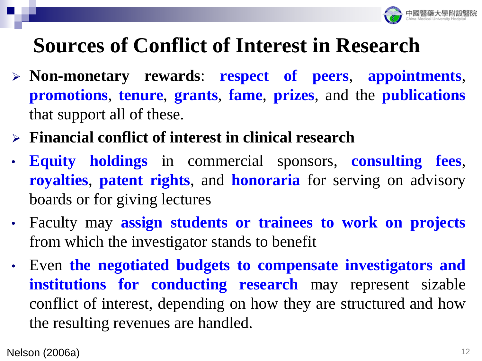

## **Sources of Conflict of Interest in Research**

- ➢ **Non-monetary rewards**: **respect of peers**, **appointments**, **promotions**, **tenure**, **grants**, **fame**, **prizes**, and the **publications** that support all of these.
- ➢ **Financial conflict of interest in clinical research**
- **Equity holdings** in commercial sponsors, **consulting fees**, **royalties**, **patent rights**, and **honoraria** for serving on advisory boards or for giving lectures
- Faculty may **assign students or trainees to work on projects** from which the investigator stands to benefit
- Even **the negotiated budgets to compensate investigators and institutions for conducting research** may represent sizable conflict of interest, depending on how they are structured and how the resulting revenues are handled.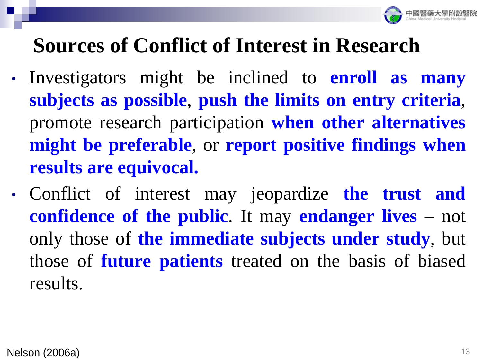

## **Sources of Conflict of Interest in Research**

- Investigators might be inclined to **enroll as many subjects as possible**, **push the limits on entry criteria**, promote research participation **when other alternatives might be preferable**, or **report positive findings when results are equivocal.**
- Conflict of interest may jeopardize **the trust and confidence of the public**. It may **endanger lives** – not only those of **the immediate subjects under study**, but those of **future patients** treated on the basis of biased results.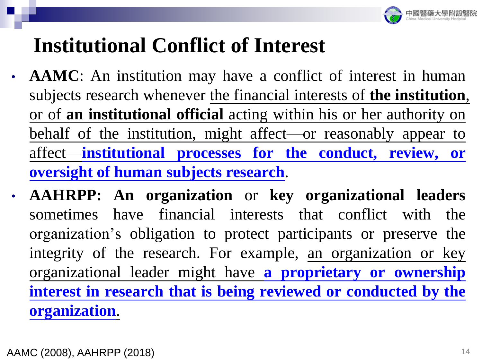

## **Institutional Conflict of Interest**

- **AAMC**: An institution may have a conflict of interest in human subjects research whenever the financial interests of **the institution**, or of **an institutional official** acting within his or her authority on behalf of the institution, might affect—or reasonably appear to affect—**institutional processes for the conduct, review, or oversight of human subjects research**.
- **AAHRPP: An organization** or **key organizational leaders** sometimes have financial interests that conflict with the organization's obligation to protect participants or preserve the integrity of the research. For example, an organization or key organizational leader might have **a proprietary or ownership interest in research that is being reviewed or conducted by the organization**.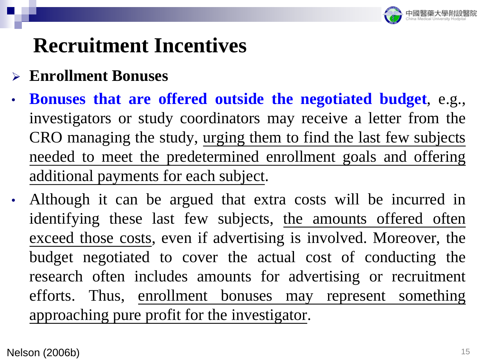

- ➢ **Enrollment Bonuses**
- **Bonuses that are offered outside the negotiated budget**, e.g., investigators or study coordinators may receive a letter from the CRO managing the study, urging them to find the last few subjects needed to meet the predetermined enrollment goals and offering additional payments for each subject.
- Although it can be argued that extra costs will be incurred in identifying these last few subjects, the amounts offered often exceed those costs, even if advertising is involved. Moreover, the budget negotiated to cover the actual cost of conducting the research often includes amounts for advertising or recruitment efforts. Thus, enrollment bonuses may represent something approaching pure profit for the investigator.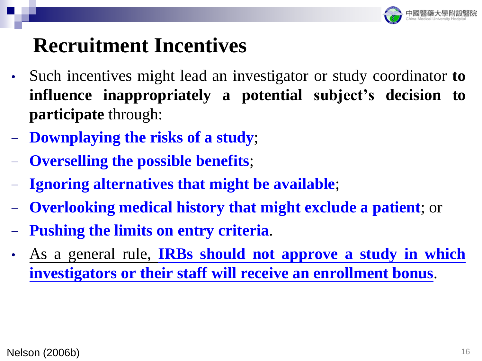

- Such incentives might lead an investigator or study coordinator **to influence inappropriately a potential subject's decision to participate** through:
- − **Downplaying the risks of a study**;
- − **Overselling the possible benefits**;
- − **Ignoring alternatives that might be available**;
- − **Overlooking medical history that might exclude a patient**; or
- − **Pushing the limits on entry criteria**.
- As a general rule, **IRBs should not approve a study in which investigators or their staff will receive an enrollment bonus**.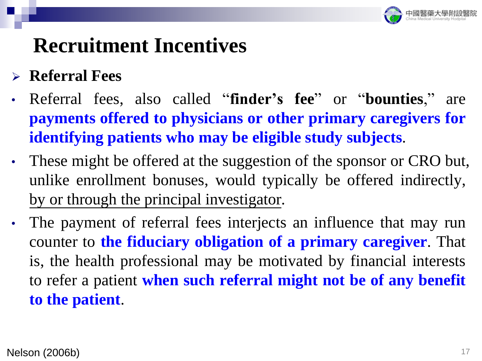

#### ➢ **Referral Fees**

- Referral fees, also called "**finder's fee**" or "**bounties**," are **payments offered to physicians or other primary caregivers for identifying patients who may be eligible study subjects**.
- These might be offered at the suggestion of the sponsor or CRO but, unlike enrollment bonuses, would typically be offered indirectly, by or through the principal investigator.
- The payment of referral fees interjects an influence that may run counter to **the fiduciary obligation of a primary caregiver**. That is, the health professional may be motivated by financial interests to refer a patient **when such referral might not be of any benefit to the patient**.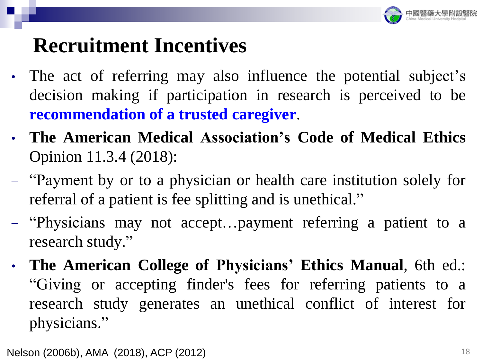

- The act of referring may also influence the potential subject's decision making if participation in research is perceived to be **recommendation of a trusted caregiver**.
- **The American Medical Association's Code of Medical Ethics** Opinion 11.3.4 (2018):
- − "Payment by or to a physician or health care institution solely for referral of a patient is fee splitting and is unethical."
- − "Physicians may not accept…payment referring a patient to a research study."
- **The American College of Physicians' Ethics Manual**, 6th ed.: "Giving or accepting finder's fees for referring patients to a research study generates an unethical conflict of interest for physicians."

Nelson (2006b), AMA (2018), ACP (2012) 18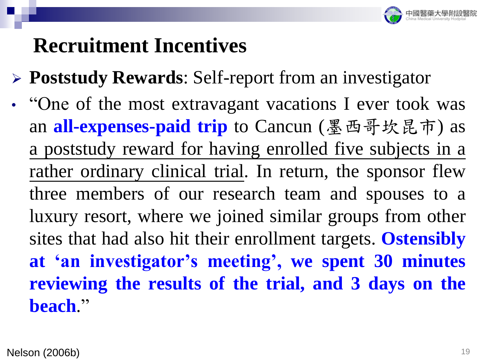

- ➢ **Poststudy Rewards**: Self-report from an investigator
- "One of the most extravagant vacations I ever took was an **all-expenses-paid trip** to Cancun (墨西哥坎昆市) as a poststudy reward for having enrolled five subjects in a rather ordinary clinical trial. In return, the sponsor flew three members of our research team and spouses to a luxury resort, where we joined similar groups from other sites that had also hit their enrollment targets. **Ostensibly at 'an investigator's meeting', we spent 30 minutes reviewing the results of the trial, and 3 days on the beach**."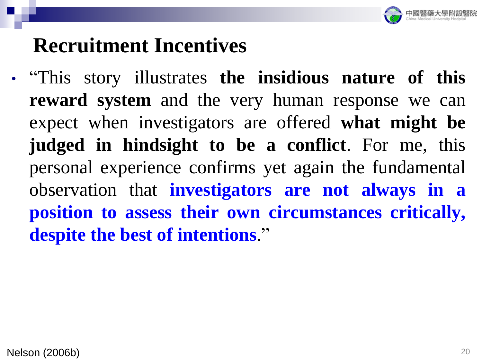

• "This story illustrates **the insidious nature of this reward system** and the very human response we can expect when investigators are offered **what might be judged in hindsight to be a conflict**. For me, this personal experience confirms yet again the fundamental observation that **investigators are not always in a position to assess their own circumstances critically, despite the best of intentions**."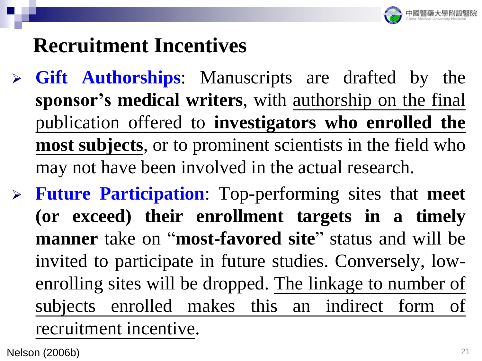

- ➢ **Gift Authorships**: Manuscripts are drafted by the **sponsor's medical writers**, with authorship on the final publication offered to **investigators who enrolled the most subjects**, or to prominent scientists in the field who may not have been involved in the actual research.
- ➢ **Future Participation**: Top-performing sites that **meet (or exceed) their enrollment targets in a timely manner** take on "**most-favored site**" status and will be invited to participate in future studies. Conversely, lowenrolling sites will be dropped. The linkage to number of subjects enrolled makes this an indirect form of recruitment incentive.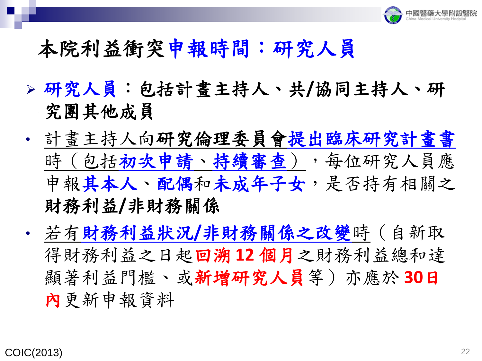

#### 本院利益衝突申報時間:研究人員

- ➢ 研究人員:包括計畫主持人、共**/**協同主持人、研 究團其他成員
- 計畫主持人向研究倫理委員會提出臨床研究計畫書 時(包括初次申請、持續審查),每位研究人員應 申報其本人、配偶和未成年子女,是否持有相關之 財務利益**/**非財務關係
- 若有財務利益狀況**/**非財務關係之改變時(自新取 得財務利益之日起回溯 **12** 個月之財務利益總和達 顯著利益門檻、或新增研究人員等)亦應於 **30**日 內更新申報資料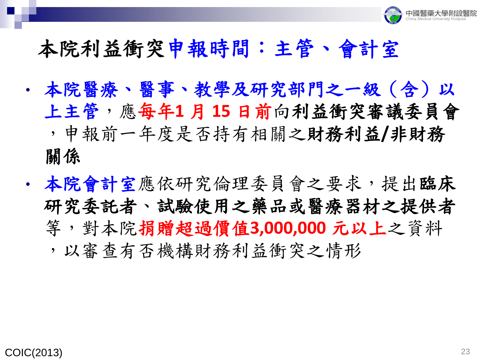

#### 本院利益衝突申報時間:主管、會計室

- 本院醫療、醫事、教學及研究部門之一級(含)以 上主管,應每年**1** 月 **15** 日前向利益衝突審議委員會 ,申報前一年度是否持有相關之財務利益**/**非財務 關係
- 本院會計室應依研究倫理委員會之要求,提出臨床 研究委託者、試驗使用之藥品或醫療器材之提供者 等,對本院捐贈超過價值**3,000,000** 元以上之資料 ,以審查有否機構財務利益衝突之情形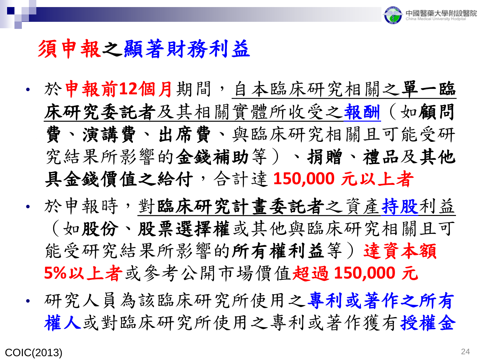

#### 須申報之顯著財務利益

- 於申報前**12**個月期間,自本臨床研究相關之單一臨 床研究委託者及其相關實體所收受之報酬(如顧問 費、演講費、出席費、與臨床研究相關且可能受研 究結果所影響的金錢補助等)、捐贈、禮品及其他 具金錢價值之給付,合計達 **150,000** 元以上者
- · 於申報時,對臨床研究計畫委託者之資產持股利益 (如股份、股票選擇權或其他與臨床研究相關且可 能受研究結果所影響的所有權利益等)達資本額 **5%**以上者或參考公開市場價值超過 **150,000** 元
- 研究人員為該臨床研究所使用之專利或著作之所有 權人或對臨床研究所使用之專利或著作獲有授權金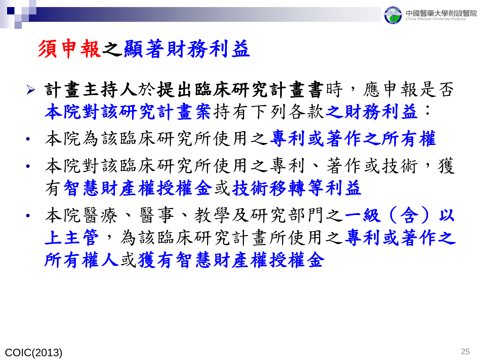

#### 須申報之顯著財務利益

- ➢ 計畫主持人於提出臨床研究計畫書時,應申報是否 本院對該研究計畫案持有下列各款之財務利益:
- 本院為該臨床研究所使用之專利或著作之所有權
- 本院對該臨床研究所使用之專利、著作或技術,獲 有智慧財產權授權金或技術移轉等利益
- 本院醫療、醫事、教學及研究部門之一級(含)以 上主管,為該臨床研究計畫所使用之專利或著作之 所有權人或獲有智慧財產權授權金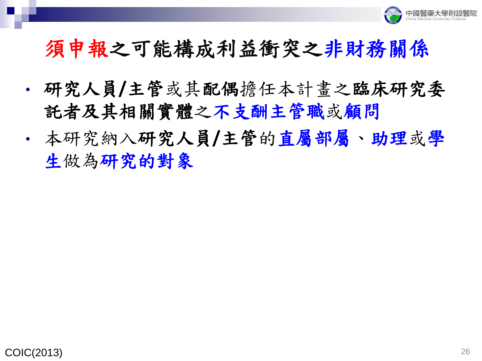

#### 須申報之可能構成利益衝突之非財務關係

- 研究人員**/**主管或其配偶擔任本計畫之臨床研究委 託者及其相關實體之不支酬主管職或顧問
- 本研究納入研究人員**/**主管的直屬部屬、助理或學 生做為研究的對象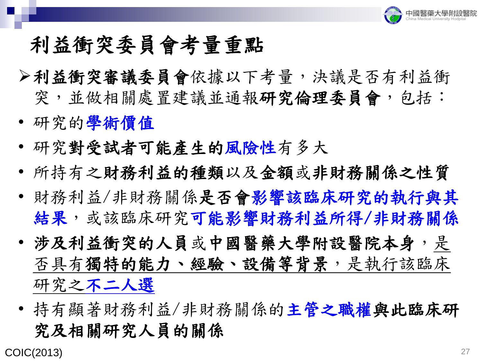

#### 利益衝突委員會考量重點

- ➢利益衝突審議委員會依據以下考量,決議是否有利益衝 突,並做相關處置建議並通報研究倫理委員會,包括:
- 研究的學術價值
- 研究對受試者可能產生的風險性有多大
- 所持有之財務利益的種類以及金額或非財務關係之性質
- 財務利益/非財務關係是否會影響該臨床研究的執行與其 結果,或該臨床研究可能影響財務利益所得/非財務關係
- 涉及利益衝突的人員或中國醫藥大學附設醫院本身,是 否具有獨特的能力、經驗、設備等背景,是執行該臨床 研究之不二人選
- 持有顯著財務利益/非財務關係的主管之職權與此臨床研 究及相關研究人員的關係

COIC(2013)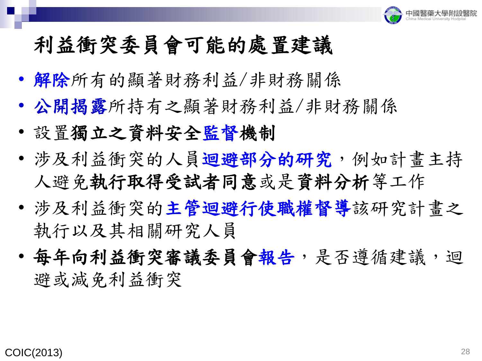

#### 利益衝突委員會可能的處置建議

- 解除所有的顯著財務利益/非財務關係
- 公開揭露所持有之顯著財務利益/非財務關係
- 設置獨立之資料安全監督機制
- 涉及利益衝突的人員迴避部分的研究, 例如計畫主持 人避免執行取得受試者同意或是資料分析等工作
- 涉及利益衝突的主管迴避行使職權督導該研究計畫之 執行以及其相關研究人員
- 每年向利益衝突審議委員會報告,是否遵循建議,迴 避或減免利益衝突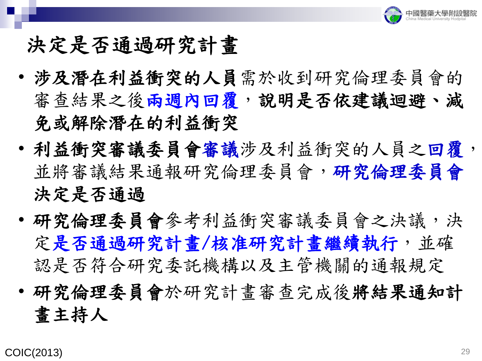

#### 決定是否通過研究計畫

- 涉及潛在利益衝突的人員需於收到研究倫理委員會的 審查結果之後兩週內回覆,說明是否依建議迴避、減 免或解除潛在的利益衝突
- 利益衝突審議委員會審議涉及利益衝突的人員之回覆, 並將審議結果通報研究倫理委員會,研究倫理委員會 決定是否通過
- 研究倫理委員會參考利益衝突審議委員會之決議,決 定是否通過研究計畫/核准研究計畫繼續執行,並確 認是否符合研究委託機構以及主管機關的通報規定
- 研究倫理委員會於研究計畫審查完成後將結果通知計 畫主持人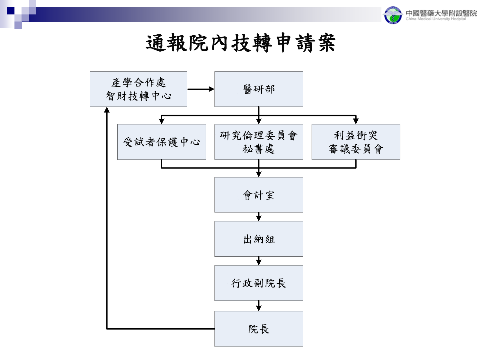

通報院內技轉申請案

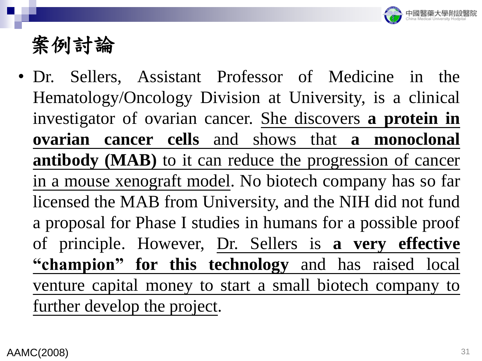

• Dr. Sellers, Assistant Professor of Medicine in the Hematology/Oncology Division at University, is a clinical investigator of ovarian cancer. She discovers **a protein in ovarian cancer cells** and shows that **a monoclonal antibody (MAB)** to it can reduce the progression of cancer in a mouse xenograft model. No biotech company has so far licensed the MAB from University, and the NIH did not fund a proposal for Phase I studies in humans for a possible proof of principle. However, Dr. Sellers is **a very effective "champion" for this technology** and has raised local venture capital money to start a small biotech company to further develop the project.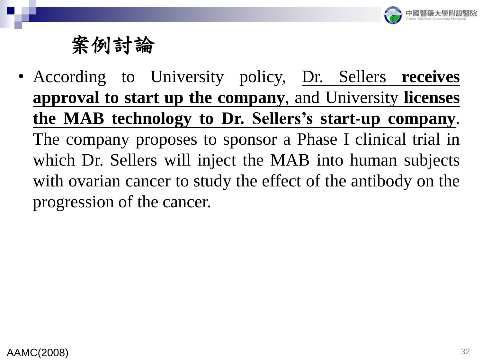

• According to University policy, Dr. Sellers **receives approval to start up the company**, and University **licenses the MAB technology to Dr. Sellers's start-up company**. The company proposes to sponsor a Phase I clinical trial in which Dr. Sellers will inject the MAB into human subjects with ovarian cancer to study the effect of the antibody on the progression of the cancer.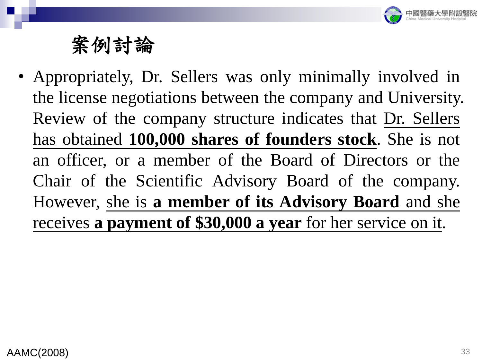

• Appropriately, Dr. Sellers was only minimally involved in the license negotiations between the company and University. Review of the company structure indicates that Dr. Sellers has obtained **100,000 shares of founders stock**. She is not an officer, or a member of the Board of Directors or the Chair of the Scientific Advisory Board of the company. However, she is **a member of its Advisory Board** and she receives **a payment of \$30,000 a year** for her service on it.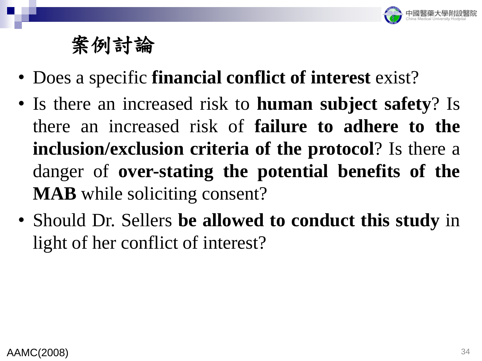

- Does a specific **financial conflict of interest** exist?
- Is there an increased risk to **human subject safety**? Is there an increased risk of **failure to adhere to the inclusion/exclusion criteria of the protocol**? Is there a danger of **over-stating the potential benefits of the MAB** while soliciting consent?
- Should Dr. Sellers **be allowed to conduct this study** in light of her conflict of interest?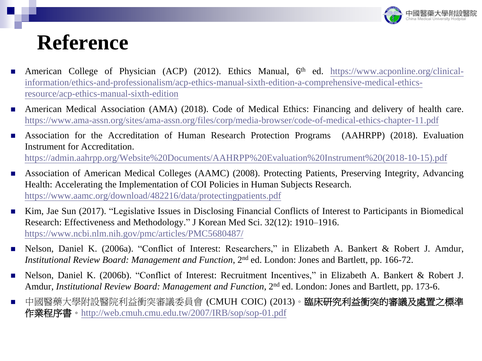

#### **Reference**

- American College of Physician (ACP) (2012). Ethics Manual, 6<sup>th</sup> ed. https://www.acponline.org/clinical[information/ethics-and-professionalism/acp-ethics-manual-sixth-edition-a-comprehensive-medical-ethics](https://www.acponline.org/clinical-information/ethics-and-professionalism/acp-ethics-manual-sixth-edition-a-comprehensive-medical-ethics-resource/acp-ethics-manual-sixth-edition)resource/acp-ethics-manual-sixth-edition
- American Medical Association (AMA) (2018). Code of Medical Ethics: Financing and delivery of health care. <https://www.ama-assn.org/sites/ama-assn.org/files/corp/media-browser/code-of-medical-ethics-chapter-11.pdf>
- Association for the Accreditation of Human Research Protection Programs (AAHRPP) (2018). Evaluation Instrument for Accreditation. [https://admin.aahrpp.org/Website%20Documents/AAHRPP%20Evaluation%20Instrument%20\(2018-10-15\).pdf](https://admin.aahrpp.org/Website%20Documents/AAHRPP%20Evaluation%20Instrument%20(2018-10-15).pdf)
- Association of American Medical Colleges (AAMC) (2008). Protecting Patients, Preserving Integrity, Advancing Health: Accelerating the Implementation of COI Policies in Human Subjects Research. <https://www.aamc.org/download/482216/data/protectingpatients.pdf>
- Kim, Jae Sun (2017). "Legislative Issues in Disclosing Financial Conflicts of Interest to Participants in Biomedical Research: Effectiveness and Methodology." J Korean Med Sci. 32(12): 1910–1916. <https://www.ncbi.nlm.nih.gov/pmc/articles/PMC5680487/>
- Nelson, Daniel K. (2006a). "Conflict of Interest: Researchers," in Elizabeth A. Bankert & Robert J. Amdur, *Institutional Review Board: Management and Function,* 2<sup>nd</sup> ed. London: Jones and Bartlett, pp. 166-72.
- Nelson, Daniel K. (2006b). "Conflict of Interest: Recruitment Incentives," in Elizabeth A. Bankert & Robert J. Amdur, *Institutional Review Board: Management and Function*, 2<sup>nd</sup> ed. London: Jones and Bartlett, pp. 173-6.

<sup>■</sup> 中國醫藥大學附設醫院利益衝突審議委員會 (CMUH COIC) (2013)。**臨床研究利益衝突的審議及處置之標準** 作業程序書。<http://web.cmuh.cmu.edu.tw/2007/IRB/sop/sop-01.pdf>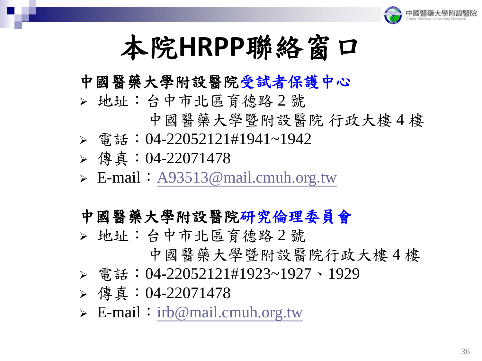

# 本院**HRPP**聯絡窗口

#### 中國醫藥大學附設醫院受試者保護中心

- ➢ 地址:台中市北區育德路 2 號
	- 中國醫藥大學暨附設醫院 行政大樓 4 樓
- ➢ 電話:04-22052121#1941~1942
- ➢ 傳真:04-22071478
- $\triangleright$  E-mail: [A93513@mail.cmuh.org.tw](mailto:A93513@mail.cmuh.org.tw)

#### 中國醫藥大學附設醫院研究倫理委員會

- ➢ 地址:台中市北區育德路 2 號
	- 中國醫藥大學暨附設醫院行政大樓 4 樓
- ➢ 電話:04-22052121#1923~1927、1929
- ➢ 傳真:04-22071478
- ➢ E-mail:[irb@mail.cmuh.org.tw](mailto:irb@mail.cmuh.org.tw)